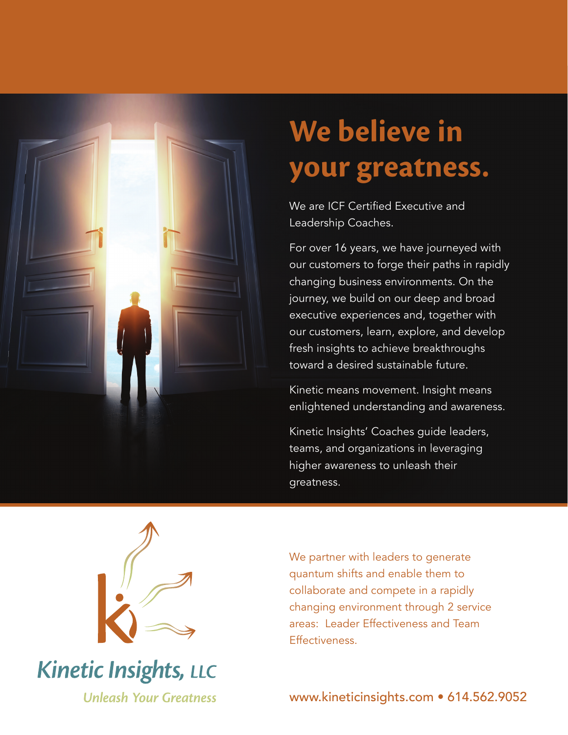

# **We believe in your greatness.**

We are ICF Certified Executive and Leadership Coaches.

For over 16 years, we have journeyed with our customers to forge their paths in rapidly changing business environments. On the journey, we build on our deep and broad executive experiences and, together with our customers, learn, explore, and develop fresh insights to achieve breakthroughs toward a desired sustainable future.

Kinetic means movement. Insight means enlightened understanding and awareness.

Kinetic Insights' Coaches guide leaders, teams, and organizations in leveraging higher awareness to unleash their greatness.



# **Kinetic Insights, LLC Unleash Your Greatness**

We partner with leaders to generate quantum shifts and enable them to collaborate and compete in a rapidly changing environment through 2 service areas: Leader Effectiveness and Team Effectiveness.

www.kineticinsights.com • 614.562.9052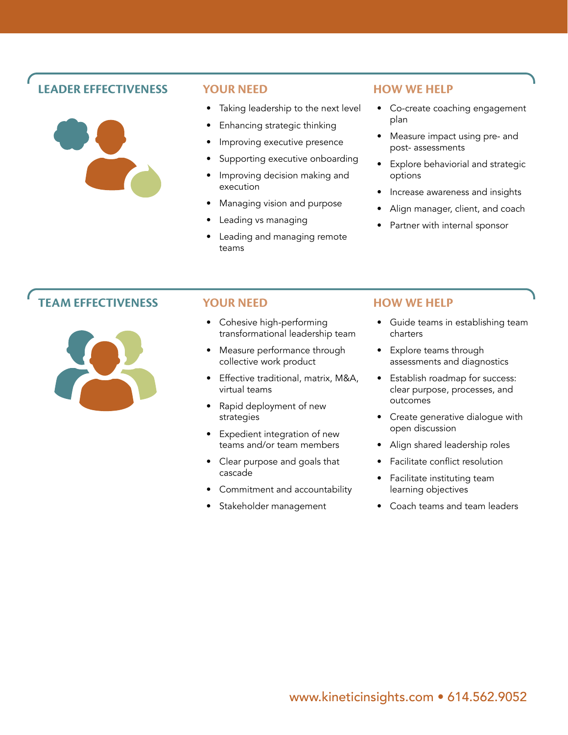## **LEADER EFFECTIVENESS YOUR NEED HOW WE HELP**



- Taking leadership to the next level
- Enhancing strategic thinking
- Improving executive presence
- Supporting executive onboarding
- Improving decision making and execution
- Managing vision and purpose
- Leading vs managing
- Leading and managing remote teams

- Co-create coaching engagement plan
- Measure impact using pre- and post- assessments
- Explore behaviorial and strategic options
- Increase awareness and insights
- Align manager, client, and coach
- Partner with internal sponsor

## **TEAM EFFECTIVENESS YOUR NEED HOW WE HELP**



- Cohesive high-performing transformational leadership team
- Measure performance through collective work product
- Effective traditional, matrix, M&A, virtual teams
- Rapid deployment of new strategies
- Expedient integration of new teams and/or team members
- Clear purpose and goals that cascade
- Commitment and accountability
- Stakeholder management

- Guide teams in establishing team charters
- Explore teams through assessments and diagnostics
- Establish roadmap for success: clear purpose, processes, and outcomes
- Create generative dialogue with open discussion
- Align shared leadership roles
- Facilitate conflict resolution
- Facilitate instituting team learning objectives
- Coach teams and team leaders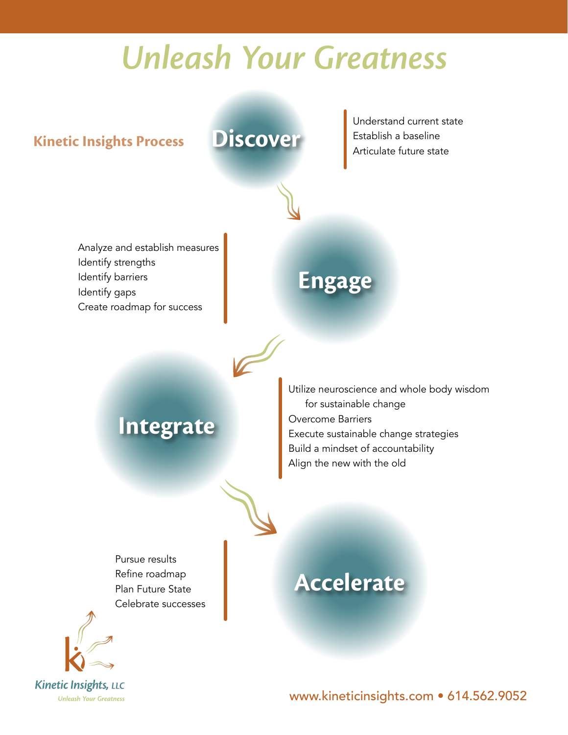# **Unleash Your Greatness**

**Discover**

**Kinetic Insights Process**

Understand current state Establish a baseline Articulate future state

Analyze and establish measures Identify strengths Identify barriers Identify gaps Create roadmap for success

# **Engage**

## **Integrate**

Utilize neuroscience and whole body wisdom for sustainable change Overcome Barriers Execute sustainable change strategies Build a mindset of accountability Align the new with the old

Pursue results Refine roadmap Plan Future State Celebrate successes



# **Accelerate**